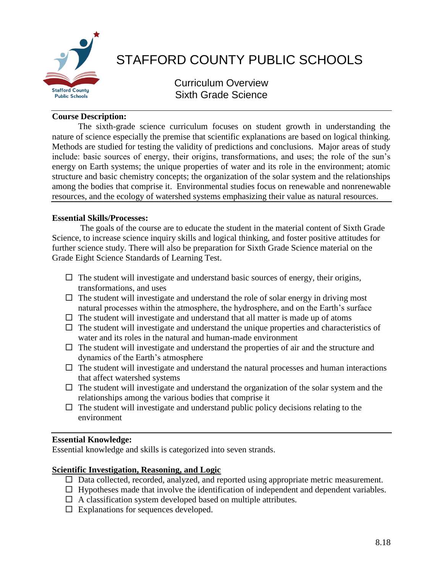

# STAFFORD COUNTY PUBLIC SCHOOLS

Curriculum Overview Sixth Grade Science

## **Course Description:**

The sixth-grade science curriculum focuses on student growth in understanding the nature of science especially the premise that scientific explanations are based on logical thinking. Methods are studied for testing the validity of predictions and conclusions. Major areas of study include: basic sources of energy, their origins, transformations, and uses; the role of the sun's energy on Earth systems; the unique properties of water and its role in the environment; atomic structure and basic chemistry concepts; the organization of the solar system and the relationships among the bodies that comprise it. Environmental studies focus on renewable and nonrenewable resources, and the ecology of watershed systems emphasizing their value as natural resources.

## **Essential Skills/Processes:**

The goals of the course are to educate the student in the material content of Sixth Grade Science, to increase science inquiry skills and logical thinking, and foster positive attitudes for further science study. There will also be preparation for Sixth Grade Science material on the Grade Eight Science Standards of Learning Test.

- $\Box$  The student will investigate and understand basic sources of energy, their origins, transformations, and uses
- $\Box$  The student will investigate and understand the role of solar energy in driving most natural processes within the atmosphere, the hydrosphere, and on the Earth's surface
- $\Box$  The student will investigate and understand that all matter is made up of atoms
- $\Box$  The student will investigate and understand the unique properties and characteristics of water and its roles in the natural and human-made environment
- $\Box$  The student will investigate and understand the properties of air and the structure and dynamics of the Earth's atmosphere
- $\Box$  The student will investigate and understand the natural processes and human interactions that affect watershed systems
- $\Box$  The student will investigate and understand the organization of the solar system and the relationships among the various bodies that comprise it
- $\Box$  The student will investigate and understand public policy decisions relating to the environment

# **Essential Knowledge:**

Essential knowledge and skills is categorized into seven strands.

# **Scientific Investigation, Reasoning, and Logic**

- $\Box$  Data collected, recorded, analyzed, and reported using appropriate metric measurement.
- $\Box$  Hypotheses made that involve the identification of independent and dependent variables.
- $\Box$  A classification system developed based on multiple attributes.
- $\square$  Explanations for sequences developed.